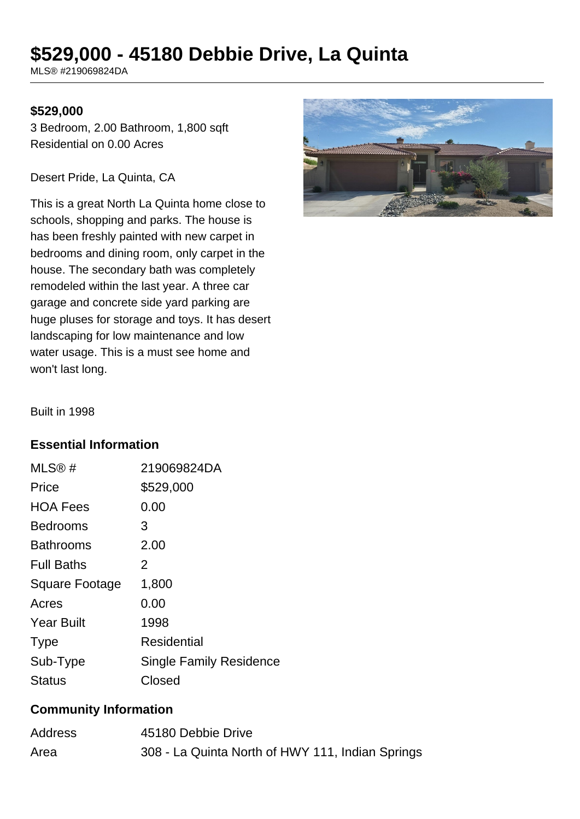# **\$529,000 - 45180 Debbie Drive, La Quinta**

MLS® #219069824DA

#### **\$529,000**

3 Bedroom, 2.00 Bathroom, 1,800 sqft Residential on 0.00 Acres

Desert Pride, La Quinta, CA

This is a great North La Quinta home close to schools, shopping and parks. The house is has been freshly painted with new carpet in bedrooms and dining room, only carpet in the house. The secondary bath was completely remodeled within the last year. A three car garage and concrete side yard parking are huge pluses for storage and toys. It has desert landscaping for low maintenance and low water usage. This is a must see home and won't last long.



Built in 1998

#### **Essential Information**

| MLS@#                 | 219069824DA                    |
|-----------------------|--------------------------------|
| Price                 | \$529,000                      |
| <b>HOA Fees</b>       | 0.00                           |
| <b>Bedrooms</b>       | 3                              |
| <b>Bathrooms</b>      | 2.00                           |
| <b>Full Baths</b>     | 2                              |
| <b>Square Footage</b> | 1,800                          |
| Acres                 | 0.00                           |
| <b>Year Built</b>     | 1998                           |
| <b>Type</b>           | <b>Residential</b>             |
| Sub-Type              | <b>Single Family Residence</b> |
| <b>Status</b>         | Closed                         |

#### **Community Information**

| Address | 45180 Debbie Drive                               |
|---------|--------------------------------------------------|
| Area    | 308 - La Quinta North of HWY 111, Indian Springs |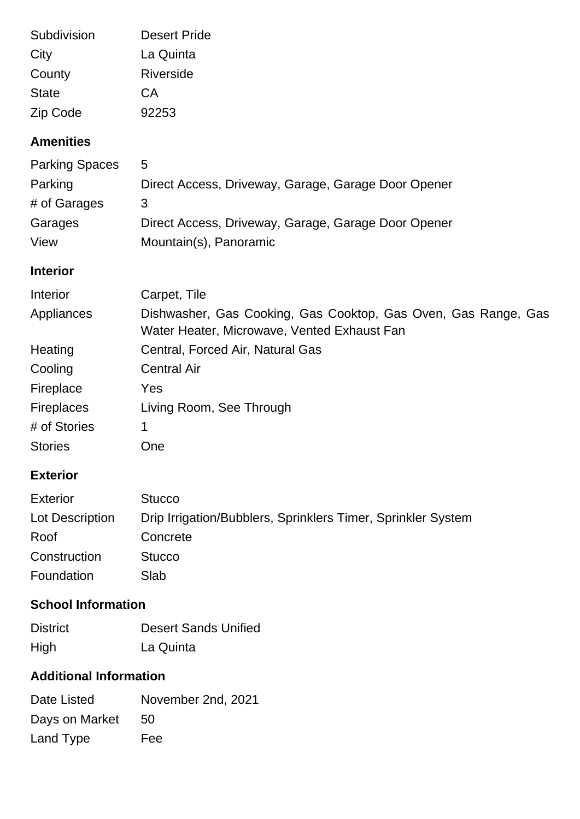| Subdivision  | <b>Desert Pride</b> |
|--------------|---------------------|
| City         | La Quinta           |
| County       | Riverside           |
| <b>State</b> | CA                  |
| Zip Code     | 92253               |

## **Amenities**

| <b>Parking Spaces</b> | 5                                                   |
|-----------------------|-----------------------------------------------------|
| Parking               | Direct Access, Driveway, Garage, Garage Door Opener |
| # of Garages          | 3                                                   |
| Garages               | Direct Access, Driveway, Garage, Garage Door Opener |
| View                  | Mountain(s), Panoramic                              |

## **Interior**

| Interior          | Carpet, Tile                                                                                                  |  |
|-------------------|---------------------------------------------------------------------------------------------------------------|--|
| Appliances        | Dishwasher, Gas Cooking, Gas Cooktop, Gas Oven, Gas Range, Gas<br>Water Heater, Microwave, Vented Exhaust Fan |  |
| Heating           | Central, Forced Air, Natural Gas                                                                              |  |
| Cooling           | <b>Central Air</b>                                                                                            |  |
| Fireplace         | Yes                                                                                                           |  |
| <b>Fireplaces</b> | Living Room, See Through                                                                                      |  |
| # of Stories      | 1                                                                                                             |  |
| <b>Stories</b>    | One                                                                                                           |  |

#### **Exterior**

| Exterior        | <b>Stucco</b>                                                |
|-----------------|--------------------------------------------------------------|
| Lot Description | Drip Irrigation/Bubblers, Sprinklers Timer, Sprinkler System |
| Roof            | Concrete                                                     |
| Construction    | <b>Stucco</b>                                                |
| Foundation      | Slab                                                         |

## **School Information**

| <b>District</b> | <b>Desert Sands Unified</b> |
|-----------------|-----------------------------|
| High            | La Quinta                   |

## **Additional Information**

| Date Listed    | November 2nd, 2021 |
|----------------|--------------------|
| Days on Market | -50                |
| Land Type      | Fee                |